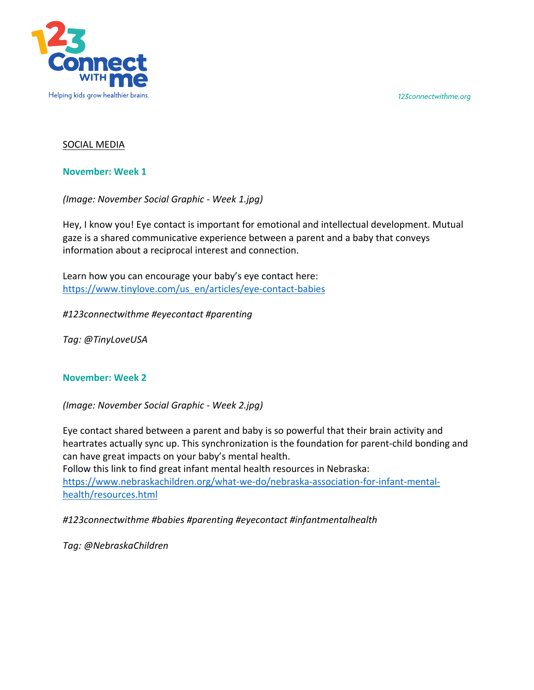*123connectwithme.org*



## SOCIAL MEDIA

**November: Week 1**

*(Image: November Social Graphic - Week 1.jpg)*

Hey, I know you! Eye contact is important for emotional and intellectual development. Mutual gaze is a shared communicative experience between a parent and a baby that conveys information about a reciprocal interest and connection.

Learn how you can encourage your baby's eye contact here: https://www.tinylove.com/us\_en/articles/eye-contact-babies

*#123connectwithme #eyecontact #parenting*

*Tag: @TinyLoveUSA*

## **November: Week 2**

*(Image: November Social Graphic - Week 2.jpg)*

Eye contact shared between a parent and baby is so powerful that their brain activity and heartrates actually sync up. This synchronization is the foundation for parent-child bonding and can have great impacts on your baby's mental health. Follow this link to find great infant mental health resources in Nebraska:

https://www.nebraskachildren.org/what-we-do/nebraska-association-for-infant-mentalhealth/resources.html

*#123connectwithme #babies #parenting #eyecontact #infantmentalhealth*

*Tag: @NebraskaChildren*